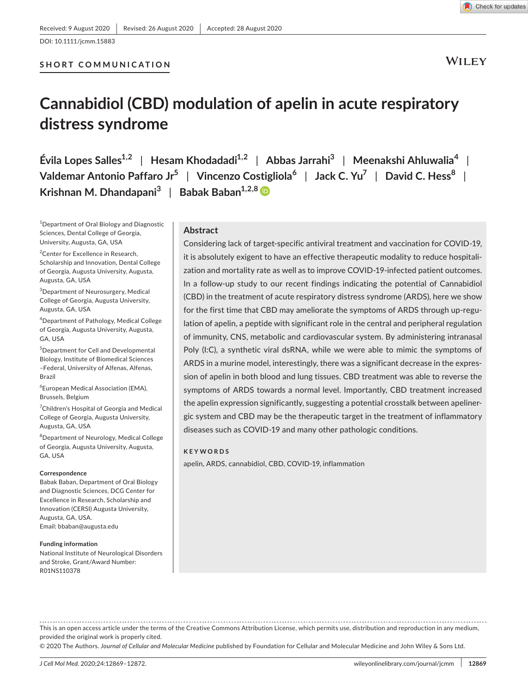**SHORT COMMUNICATION**

Check for updates

**WILEY** 

# **Cannabidiol (CBD) modulation of apelin in acute respiratory distress syndrome**

**Évila Lopes Salles1,2** | **Hesam Khodadadi1,2** | **Abbas Jarrahi<sup>3</sup>** | **Meenakshi Ahluwalia<sup>4</sup>** | **Valdemar Antonio Paffaro Jr<sup>5</sup>** | **Vincenzo Costigliola<sup>6</sup>** | **Jack C. Yu<sup>7</sup>** | **David C. Hess<sup>8</sup>** | **Krishnan M. Dhandapani<sup>3</sup>** | **Babak Baban1,2,[8](https://orcid.org/0000-0002-3144-2288)**

<sup>1</sup>Department of Oral Biology and Diagnostic Sciences, Dental College of Georgia, University, Augusta, GA, USA

<sup>2</sup> Center for Excellence in Research, Scholarship and Innovation, Dental College of Georgia, Augusta University, Augusta, Augusta, GA, USA

3 Department of Neurosurgery, Medical College of Georgia, Augusta University, Augusta, GA, USA

4 Department of Pathology, Medical College of Georgia, Augusta University, Augusta, GA, USA

5 Department for Cell and Developmental Biology, Institute of Biomedical Sciences –Federal, University of Alfenas, Alfenas, Brazil

6 European Medical Association (EMA), Brussels, Belgium

<sup>7</sup>Children's Hospital of Georgia and Medical College of Georgia, Augusta University, Augusta, GA, USA

8 Department of Neurology, Medical College of Georgia, Augusta University, Augusta, GA, USA

#### **Correspondence**

Babak Baban, Department of Oral Biology and Diagnostic Sciences, DCG Center for Excellence in Research, Scholarship and Innovation (CERSI) Augusta University, Augusta, GA, USA. Email: [bbaban@augusta.edu](mailto:bbaban@augusta.edu)

#### **Funding information**

National Institute of Neurological Disorders and Stroke, Grant/Award Number: R01NS110378

# **Abstract**

Considering lack of target-specific antiviral treatment and vaccination for COVID-19, it is absolutely exigent to have an effective therapeutic modality to reduce hospitalization and mortality rate as well as to improve COVID-19-infected patient outcomes. In a follow-up study to our recent findings indicating the potential of Cannabidiol (CBD) in the treatment of acute respiratory distress syndrome (ARDS), here we show for the first time that CBD may ameliorate the symptoms of ARDS through up-regulation of apelin, a peptide with significant role in the central and peripheral regulation of immunity, CNS, metabolic and cardiovascular system. By administering intranasal Poly (I:C), a synthetic viral dsRNA, while we were able to mimic the symptoms of ARDS in a murine model, interestingly, there was a significant decrease in the expression of apelin in both blood and lung tissues. CBD treatment was able to reverse the symptoms of ARDS towards a normal level. Importantly, CBD treatment increased the apelin expression significantly, suggesting a potential crosstalk between apelinergic system and CBD may be the therapeutic target in the treatment of inflammatory diseases such as COVID-19 and many other pathologic conditions.

#### **KEYWORDS**

apelin, ARDS, cannabidiol, CBD, COVID-19, inflammation

This is an open access article under the terms of the [Creative Commons Attribution](http://creativecommons.org/licenses/by/4.0/) License, which permits use, distribution and reproduction in any medium, provided the original work is properly cited.

© 2020 The Authors. *Journal of Cellular and Molecular Medicine* published by Foundation for Cellular and Molecular Medicine and John Wiley & Sons Ltd.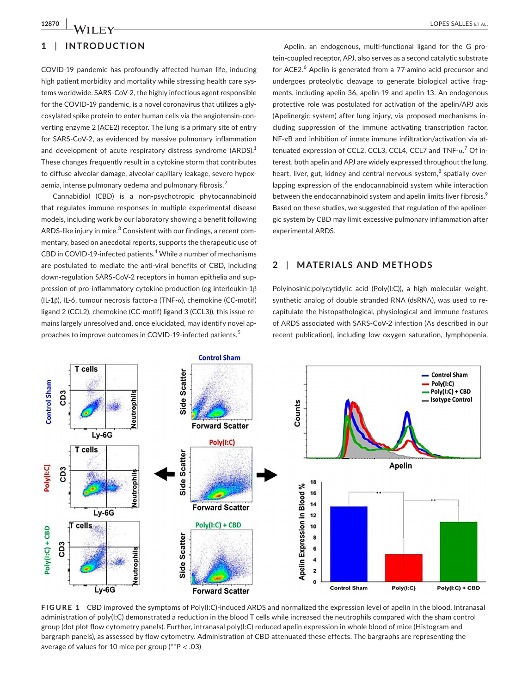# **1** | **INTRODUCTION**

COVID-19 pandemic has profoundly affected human life, inducing high patient morbidity and mortality while stressing health care systems worldwide. SARS-CoV-2, the highly infectious agent responsible for the COVID-19 pandemic, is a novel coronavirus that utilizes a glycosylated spike protein to enter human cells via the angiotensin-converting enzyme 2 (ACE2) receptor. The lung is a primary site of entry for SARS-CoV-2, as evidenced by massive pulmonary inflammation and development of acute respiratory distress syndrome (ARDS).<sup>1</sup> These changes frequently result in a cytokine storm that contributes to diffuse alveolar damage, alveolar capillary leakage, severe hypoxaemia, intense pulmonary oedema and pulmonary fibrosis.<sup>2</sup>

Cannabidiol (CBD) is a non-psychotropic phytocannabinoid that regulates immune responses in multiple experimental disease models, including work by our laboratory showing a benefit following ARDS-like injury in mice. $^3$  Consistent with our findings, a recent commentary, based on anecdotal reports, supports the therapeutic use of CBD in COVID-19-infected patients.<sup>4</sup> While a number of mechanisms are postulated to mediate the anti-viral benefits of CBD, including down-regulation SARS-CoV-2 receptors in human epithelia and suppression of pro-inflammatory cytokine production (eg interleukin-1β (IL-1β), IL-6, tumour necrosis factor-α (TNF-α), chemokine (CC-motif) ligand 2 (CCL2), chemokine (CC-motif) ligand 3 (CCL3)), this issue remains largely unresolved and, once elucidated, may identify novel approaches to improve outcomes in COVID-19-infected patients.<sup>5</sup>

Apelin, an endogenous, multi-functional ligand for the G protein-coupled receptor, APJ, also serves as a second catalytic substrate for ACE2.<sup>6</sup> Apelin is generated from a 77-amino acid precursor and undergoes proteolytic cleavage to generate biological active fragments, including apelin-36, apelin-19 and apelin-13. An endogenous protective role was postulated for activation of the apelin/APJ axis (Apelinergic system) after lung injury, via proposed mechanisms including suppression of the immune activating transcription factor, NF-κB and inhibition of innate immune infiltration/activation via attenuated expression of CCL2, CCL3, CCL4, CCL7 and TNF-α.<sup>7</sup> Of interest, both apelin and APJ are widely expressed throughout the lung, heart, liver, gut, kidney and central nervous system, $^8$  spatially overlapping expression of the endocannabinoid system while interaction between the endocannabinoid system and apelin limits liver fibrosis.<sup>9</sup> Based on these studies, we suggested that regulation of the apelinergic system by CBD may limit excessive pulmonary inflammation after experimental ARDS.

# **2** | **MATERIALS AND METHODS**

Polyinosinic:polycytidylic acid (Poly(I:C)), a high molecular weight, synthetic analog of double stranded RNA (dsRNA), was used to recapitulate the histopathological, physiological and immune features of ARDS associated with SARS-CoV-2 infection (As described in our recent publication), including low oxygen saturation, lymphopenia,



**FIGURE 1** CBD improved the symptoms of Poly(I:C)-induced ARDS and normalized the expression level of apelin in the blood. Intranasal administration of poly(I:C) demonstrated a reduction in the blood T cells while increased the neutrophils compared with the sham control group (dot plot flow cytometry panels). Further, intranasal poly(I:C) reduced apelin expression in whole blood of mice (Histogram and bargraph panels), as assessed by flow cytometry. Administration of CBD attenuated these effects. The bargraphs are representing the average of values for 10 mice per group (\*\**P* < .03)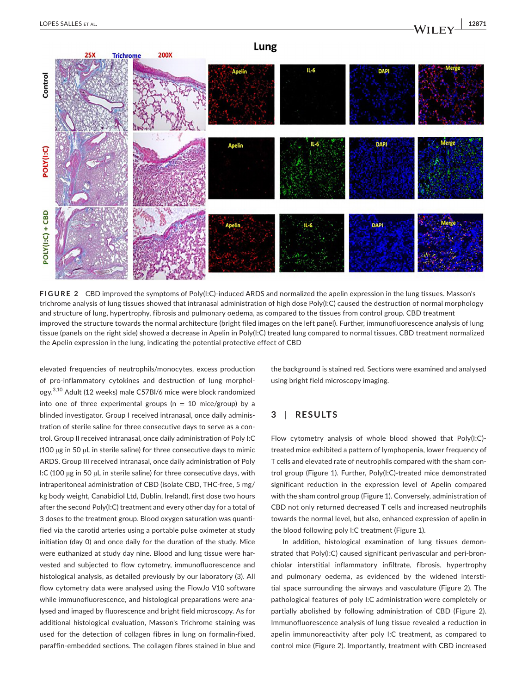

**FIGURE 2** CBD improved the symptoms of Poly(I:C)-induced ARDS and normalized the apelin expression in the lung tissues. Masson's trichrome analysis of lung tissues showed that intranasal administration of high dose Poly(I:C) caused the destruction of normal morphology and structure of lung, hypertrophy, fibrosis and pulmonary oedema, as compared to the tissues from control group. CBD treatment improved the structure towards the normal architecture (bright filed images on the left panel). Further, immunofluorescence analysis of lung tissue (panels on the right side) showed a decrease in Apelin in Poly(I:C) treated lung compared to normal tissues. CBD treatment normalized the Apelin expression in the lung, indicating the potential protective effect of CBD

elevated frequencies of neutrophils/monocytes, excess production of pro-inflammatory cytokines and destruction of lung morphology.3,10 Adult (12 weeks) male C57Bl/6 mice were block randomized into one of three experimental groups ( $n = 10$  mice/group) by a blinded investigator. Group I received intranasal, once daily administration of sterile saline for three consecutive days to serve as a control. Group II received intranasal, once daily administration of Poly I:C (100 µg in 50 µL in sterile saline) for three consecutive days to mimic ARDS. Group III received intranasal, once daily administration of Poly I:C (100 µg in 50 µL in sterile saline) for three consecutive days, with intraperitoneal administration of CBD (isolate CBD, THC-free, 5 mg/ kg body weight, Canabidiol Ltd, Dublin, Ireland), first dose two hours after the second Poly(I:C) treatment and every other day for a total of 3 doses to the treatment group. Blood oxygen saturation was quantified via the carotid arteries using a portable pulse oximeter at study initiation (day 0) and once daily for the duration of the study. Mice were euthanized at study day nine. Blood and lung tissue were harvested and subjected to flow cytometry, immunofluorescence and histological analysis, as detailed previously by our laboratory (3). All flow cytometry data were analysed using the FlowJo V10 software while immunofluorescence, and histological preparations were analysed and imaged by fluorescence and bright field microscopy. As for additional histological evaluation, Masson's Trichrome staining was used for the detection of collagen fibres in lung on formalin-fixed, paraffin-embedded sections. The collagen fibres stained in blue and

the background is stained red. Sections were examined and analysed using bright field microscopy imaging.

# **3** | **RESULTS**

Flow cytometry analysis of whole blood showed that Poly(I:C) treated mice exhibited a pattern of lymphopenia, lower frequency of T cells and elevated rate of neutrophils compared with the sham control group (Figure 1). Further, Poly(I:C)-treated mice demonstrated significant reduction in the expression level of Apelin compared with the sham control group (Figure 1). Conversely, administration of CBD not only returned decreased T cells and increased neutrophils towards the normal level, but also, enhanced expression of apelin in the blood following poly I:C treatment (Figure 1).

In addition, histological examination of lung tissues demonstrated that Poly(I:C) caused significant perivascular and peri-bronchiolar interstitial inflammatory infiltrate, fibrosis, hypertrophy and pulmonary oedema, as evidenced by the widened interstitial space surrounding the airways and vasculature (Figure 2). The pathological features of poly I:C administration were completely or partially abolished by following administration of CBD (Figure 2). Immunofluorescence analysis of lung tissue revealed a reduction in apelin immunoreactivity after poly I:C treatment, as compared to control mice (Figure 2). Importantly, treatment with CBD increased